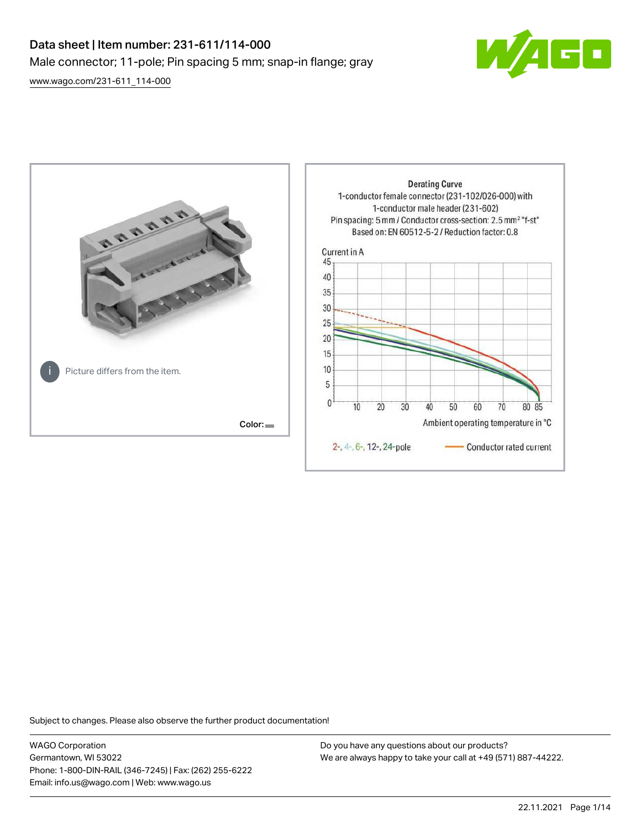# Data sheet | Item number: 231-611/114-000 Male connector; 11-pole; Pin spacing 5 mm; snap-in flange; gray







Subject to changes. Please also observe the further product documentation!

WAGO Corporation Germantown, WI 53022 Phone: 1-800-DIN-RAIL (346-7245) | Fax: (262) 255-6222 Email: info.us@wago.com | Web: www.wago.us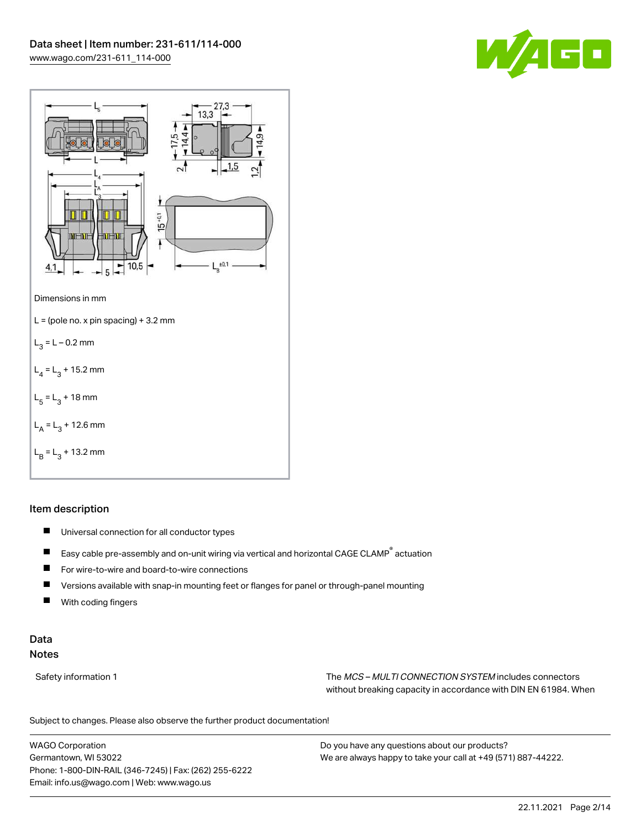



# Item description

- $\blacksquare$ Universal connection for all conductor types
- $\blacksquare$ Easy cable pre-assembly and on-unit wiring via vertical and horizontal CAGE CLAMP® actuation
- $\blacksquare$ For wire-to-wire and board-to-wire connections
- $\blacksquare$ Versions available with snap-in mounting feet or flanges for panel or through-panel mounting
- П With coding fingers

# Data Notes

Safety information 1 The MCS – MULTI CONNECTION SYSTEM includes connectors without breaking capacity in accordance with DIN EN 61984. When

Subject to changes. Please also observe the further product documentation!  $\mathbf{u}$ 

WAGO Corporation Germantown, WI 53022 Phone: 1-800-DIN-RAIL (346-7245) | Fax: (262) 255-6222 Email: info.us@wago.com | Web: www.wago.us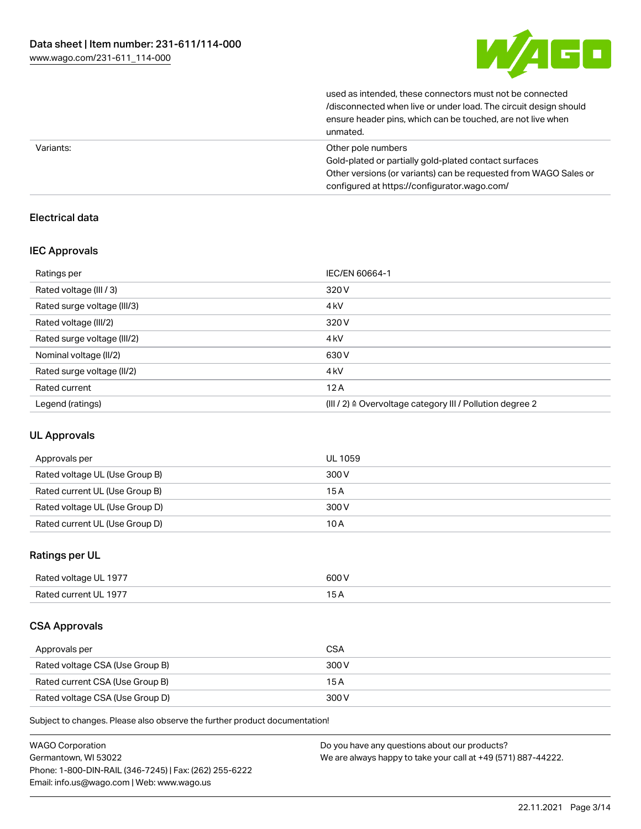

| unmated.                                                         |
|------------------------------------------------------------------|
| ensure header pins, which can be touched, are not live when      |
| /disconnected when live or under load. The circuit design should |
| used as intended, these connectors must not be connected         |

| Variants: | Other pole numbers                                               |
|-----------|------------------------------------------------------------------|
|           | Gold-plated or partially gold-plated contact surfaces            |
|           | Other versions (or variants) can be requested from WAGO Sales or |
|           | configured at https://configurator.wago.com/                     |

## Electrical data

# IEC Approvals

| Ratings per                 | IEC/EN 60664-1                                                       |
|-----------------------------|----------------------------------------------------------------------|
| Rated voltage (III / 3)     | 320 V                                                                |
| Rated surge voltage (III/3) | 4 <sub>kV</sub>                                                      |
| Rated voltage (III/2)       | 320 V                                                                |
| Rated surge voltage (III/2) | 4 <sub>kV</sub>                                                      |
| Nominal voltage (II/2)      | 630 V                                                                |
| Rated surge voltage (II/2)  | 4 <sub>k</sub> V                                                     |
| Rated current               | 12A                                                                  |
| Legend (ratings)            | (III / 2) $\triangleq$ Overvoltage category III / Pollution degree 2 |

## UL Approvals

| Approvals per                  | UL 1059 |
|--------------------------------|---------|
| Rated voltage UL (Use Group B) | 300 V   |
| Rated current UL (Use Group B) | 15 A    |
| Rated voltage UL (Use Group D) | 300 V   |
| Rated current UL (Use Group D) | 10 A    |

## Ratings per UL

| Rated voltage UL 1977 | 600 V |
|-----------------------|-------|
| Rated current UL 1977 |       |

## CSA Approvals

| Approvals per                   | <b>CSA</b> |
|---------------------------------|------------|
| Rated voltage CSA (Use Group B) | 300 V      |
| Rated current CSA (Use Group B) | 15 A       |
| Rated voltage CSA (Use Group D) | 300 V      |

Subject to changes. Please also observe the further product documentation!

| <b>WAGO Corporation</b>                                | Do you have any questions about our products?                 |
|--------------------------------------------------------|---------------------------------------------------------------|
| Germantown, WI 53022                                   | We are always happy to take your call at +49 (571) 887-44222. |
| Phone: 1-800-DIN-RAIL (346-7245)   Fax: (262) 255-6222 |                                                               |
| Email: info.us@wago.com   Web: www.wago.us             |                                                               |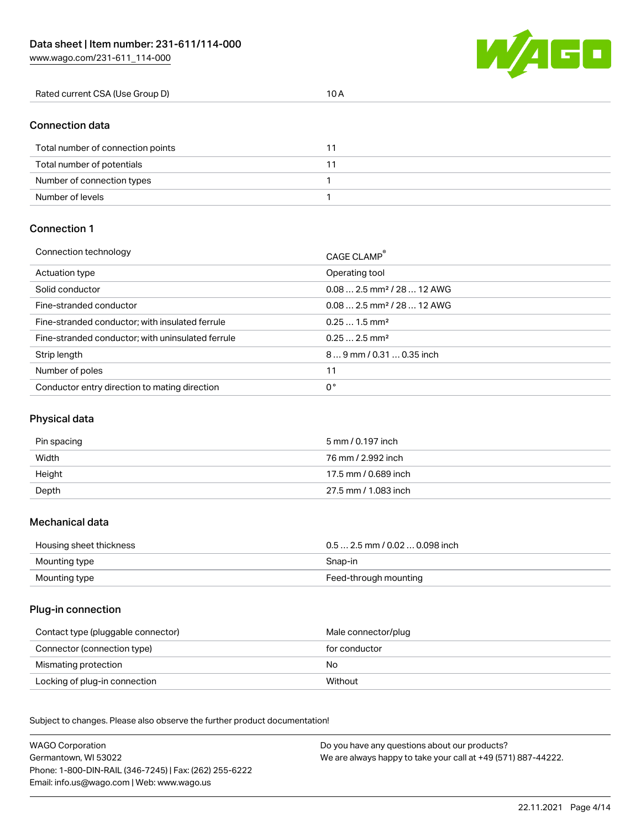W/4GC

# Connection data

| Total number of connection points |  |
|-----------------------------------|--|
| Total number of potentials        |  |
| Number of connection types        |  |
| Number of levels                  |  |

### Connection 1

| Connection technology                             | CAGE CLAMP®                             |
|---------------------------------------------------|-----------------------------------------|
| Actuation type                                    | Operating tool                          |
| Solid conductor                                   | $0.082.5$ mm <sup>2</sup> / 28  12 AWG  |
| Fine-stranded conductor                           | $0.08$ 2.5 mm <sup>2</sup> / 28  12 AWG |
| Fine-stranded conductor; with insulated ferrule   | $0.251.5$ mm <sup>2</sup>               |
| Fine-stranded conductor; with uninsulated ferrule | $0.252.5$ mm <sup>2</sup>               |
| Strip length                                      | $89$ mm / 0.31  0.35 inch               |
| Number of poles                                   | 11                                      |
| Conductor entry direction to mating direction     | 0°                                      |

## Physical data

| Pin spacing | 5 mm / 0.197 inch    |
|-------------|----------------------|
| Width       | 76 mm / 2.992 inch   |
| Height      | 17.5 mm / 0.689 inch |
| Depth       | 27.5 mm / 1.083 inch |

#### Mechanical data

| Housing sheet thickness | $0.5$ 2.5 mm / 0.02  0.098 inch |
|-------------------------|---------------------------------|
| Mounting type           | Snap-in                         |
| Mounting type           | Feed-through mounting           |

#### Plug-in connection

| Contact type (pluggable connector) | Male connector/plug |
|------------------------------------|---------------------|
| Connector (connection type)        | for conductor       |
| Mismating protection               | No                  |
| Locking of plug-in connection      | Without             |

Subject to changes. Please also observe the further product documentation! Material data

| <b>WAGO Corporation</b>                                | Do you have any questions about our products?                 |
|--------------------------------------------------------|---------------------------------------------------------------|
| Germantown, WI 53022                                   | We are always happy to take your call at +49 (571) 887-44222. |
| Phone: 1-800-DIN-RAIL (346-7245)   Fax: (262) 255-6222 |                                                               |
| Email: info.us@wago.com   Web: www.wago.us             |                                                               |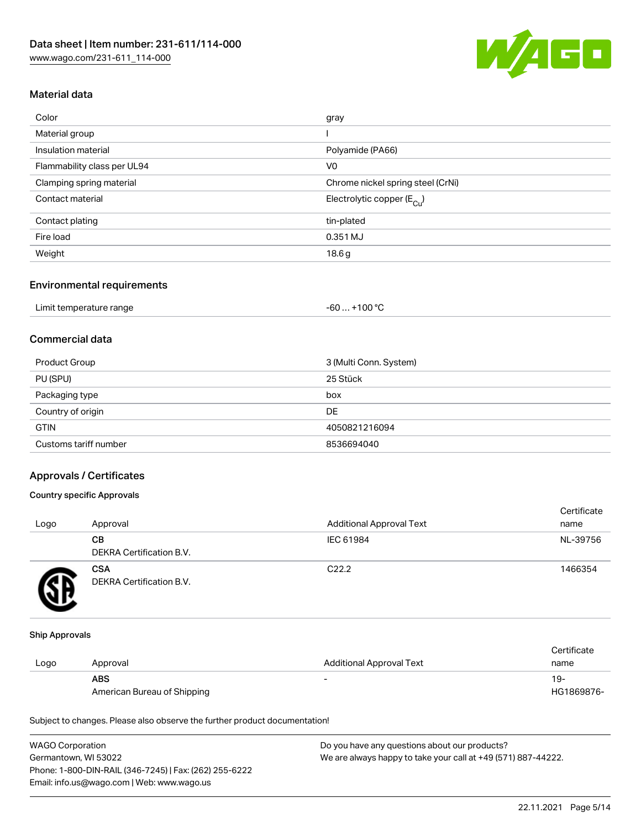

# Material data

| Color                       | gray                                   |
|-----------------------------|----------------------------------------|
| Material group              |                                        |
| Insulation material         | Polyamide (PA66)                       |
| Flammability class per UL94 | V <sub>0</sub>                         |
| Clamping spring material    | Chrome nickel spring steel (CrNi)      |
| Contact material            | Electrolytic copper (E <sub>Cu</sub> ) |
| Contact plating             | tin-plated                             |
| Fire load                   | 0.351 MJ                               |
| Weight                      | 18.6g                                  |
|                             |                                        |

#### Environmental requirements

| Limit temperature range | . +100 °C<br>$-60$ |
|-------------------------|--------------------|
|-------------------------|--------------------|

# Commercial data

| Product Group         | 3 (Multi Conn. System) |
|-----------------------|------------------------|
| PU (SPU)              | 25 Stück               |
| Packaging type        | box                    |
| Country of origin     | DE                     |
| <b>GTIN</b>           | 4050821216094          |
| Customs tariff number | 8536694040             |

## Approvals / Certificates

## Country specific Approvals

| Logo | Approval                               | <b>Additional Approval Text</b> | Certificate<br>name |
|------|----------------------------------------|---------------------------------|---------------------|
|      | CВ<br><b>DEKRA Certification B.V.</b>  | IEC 61984                       | NL-39756            |
|      | <b>CSA</b><br>DEKRA Certification B.V. | C <sub>22.2</sub>               | 1466354             |

#### Ship Approvals

|      |                             |                                 | Certificate |
|------|-----------------------------|---------------------------------|-------------|
| Logo | Approval                    | <b>Additional Approval Text</b> | name        |
|      | <b>ABS</b>                  | -                               | $19-$       |
|      | American Bureau of Shipping |                                 | HG1869876-  |

Subject to changes. Please also observe the further product documentation!

| <b>WAGO Corporation</b>                                | Do you have any questions about our products?                 |
|--------------------------------------------------------|---------------------------------------------------------------|
| Germantown, WI 53022                                   | We are always happy to take your call at +49 (571) 887-44222. |
| Phone: 1-800-DIN-RAIL (346-7245)   Fax: (262) 255-6222 |                                                               |
| Email: info.us@wago.com   Web: www.wago.us             |                                                               |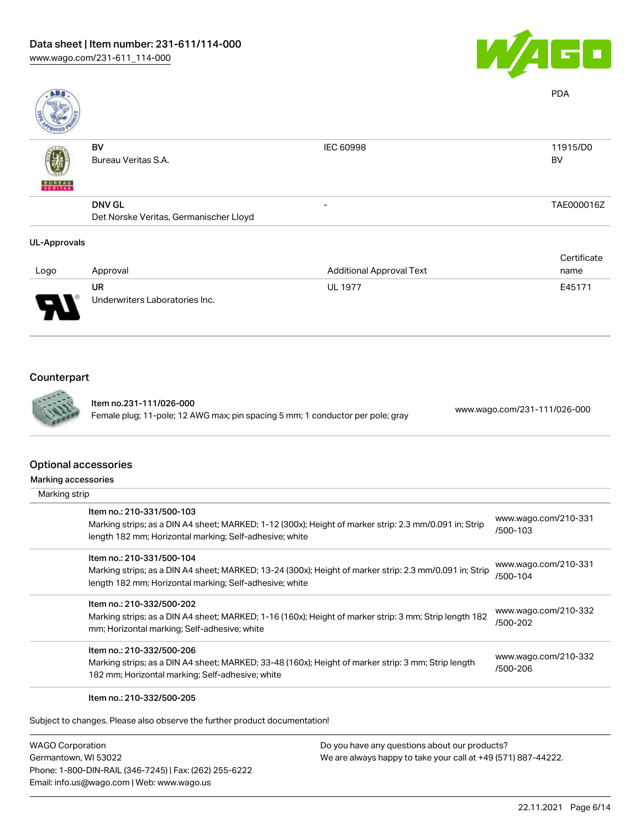

| ABS                 |                                        |                                 | <b>PDA</b>  |
|---------------------|----------------------------------------|---------------------------------|-------------|
|                     | BV                                     | <b>IEC 60998</b>                | 11915/D0    |
|                     | Bureau Veritas S.A.                    |                                 | <b>BV</b>   |
| <b>BUREAU</b>       |                                        |                                 |             |
|                     | <b>DNV GL</b>                          | $\overline{\phantom{0}}$        | TAE000016Z  |
|                     | Det Norske Veritas, Germanischer Lloyd |                                 |             |
| <b>UL-Approvals</b> |                                        |                                 |             |
|                     |                                        |                                 | Certificate |
| Logo                | Approval                               | <b>Additional Approval Text</b> | name        |

| Logo                          | Approval                       | <b>Additional Approval Text</b> | name   |
|-------------------------------|--------------------------------|---------------------------------|--------|
|                               | UR                             | <b>UL 1977</b>                  | E45171 |
| J<br>$\overline{\phantom{a}}$ | Underwriters Laboratories Inc. |                                 |        |

# Counterpart



Item no.231-111/026-000 Female plug; 11-pole; 12 AWG max; pin spacing 5 mm; 1 conductor per pole; gray [www.wago.com/231-111/026-000](https://www.wago.com/231-111/026-000)

#### Optio

| <b>Optional accessories</b>                                                                                                                                                                     |                                  |
|-------------------------------------------------------------------------------------------------------------------------------------------------------------------------------------------------|----------------------------------|
| Marking accessories                                                                                                                                                                             |                                  |
| Marking strip                                                                                                                                                                                   |                                  |
| Item no.: 210-331/500-103<br>Marking strips; as a DIN A4 sheet; MARKED; 1-12 (300x); Height of marker strip: 2.3 mm/0.091 in; Strip<br>length 182 mm; Horizontal marking; Self-adhesive; white  | www.wago.com/210-331<br>/500-103 |
| Item no.: 210-331/500-104<br>Marking strips; as a DIN A4 sheet; MARKED; 13-24 (300x); Height of marker strip: 2.3 mm/0.091 in; Strip<br>length 182 mm; Horizontal marking; Self-adhesive; white | www.wago.com/210-331<br>/500-104 |
| Item no.: 210-332/500-202<br>Marking strips; as a DIN A4 sheet; MARKED; 1-16 (160x); Height of marker strip: 3 mm; Strip length 182<br>mm; Horizontal marking; Self-adhesive; white             | www.wago.com/210-332<br>/500-202 |
| Item no.: 210-332/500-206<br>Marking strips; as a DIN A4 sheet; MARKED; 33-48 (160x); Height of marker strip: 3 mm; Strip length<br>182 mm; Horizontal marking; Self-adhesive; white            | www.wago.com/210-332<br>/500-206 |
| Item no.: 210-332/500-205                                                                                                                                                                       |                                  |

Subject to changes. Please also observe the further product documentation!

WAGO Corporation Germantown, WI 53022 Phone: 1-800-DIN-RAIL (346-7245) | Fax: (262) 255-6222 Email: info.us@wago.com | Web: www.wago.us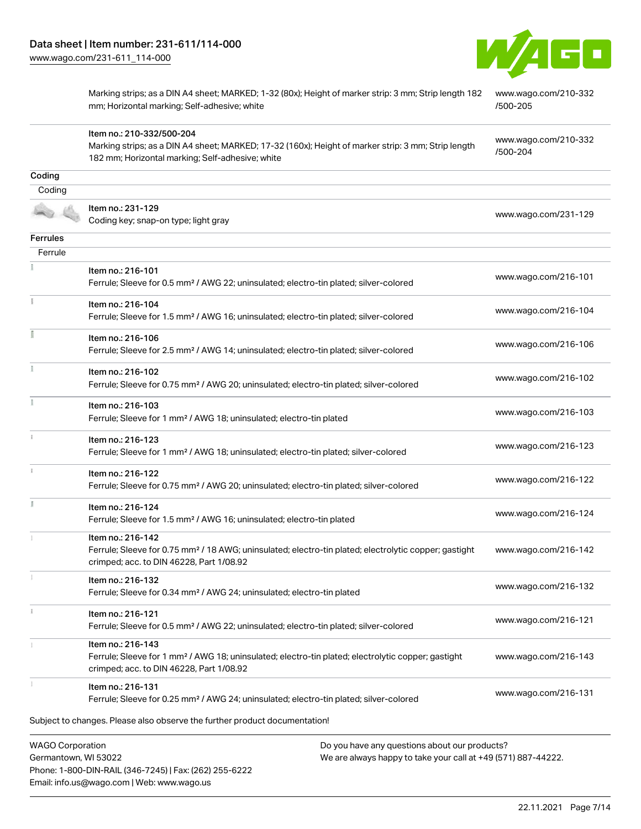Item no.: 210-332/500-204



Marking strips; as a DIN A4 sheet; MARKED; 1-32 (80x); Height of marker strip: 3 mm; Strip length 182 mm; Horizontal marking; Self-adhesive; white

[www.wago.com/210-332](http://www.wago.com/210-332/500-205) [/500-205](http://www.wago.com/210-332/500-205)

Marking strips; as a DIN A4 sheet; MARKED; 17-32 (160x); Height of marker strip: 3 mm; Strip length

[www.wago.com/210-332](http://www.wago.com/210-332/500-204) [/500-204](http://www.wago.com/210-332/500-204)

|                         | 182 mm; Horizontal marking; Self-adhesive; white                                                                        |                                               | 7000-204             |
|-------------------------|-------------------------------------------------------------------------------------------------------------------------|-----------------------------------------------|----------------------|
| Coding                  |                                                                                                                         |                                               |                      |
| Coding                  |                                                                                                                         |                                               |                      |
|                         | Item no.: 231-129                                                                                                       |                                               |                      |
|                         | Coding key; snap-on type; light gray                                                                                    |                                               | www.wago.com/231-129 |
| Ferrules                |                                                                                                                         |                                               |                      |
| Ferrule                 |                                                                                                                         |                                               |                      |
|                         | Item no.: 216-101                                                                                                       |                                               |                      |
|                         | Ferrule; Sleeve for 0.5 mm <sup>2</sup> / AWG 22; uninsulated; electro-tin plated; silver-colored                       |                                               | www.wago.com/216-101 |
| Ť.                      | Item no.: 216-104                                                                                                       |                                               |                      |
|                         | Ferrule; Sleeve for 1.5 mm <sup>2</sup> / AWG 16; uninsulated; electro-tin plated; silver-colored                       |                                               | www.wago.com/216-104 |
| Ī                       | Item no.: 216-106                                                                                                       |                                               |                      |
|                         | Ferrule; Sleeve for 2.5 mm <sup>2</sup> / AWG 14; uninsulated; electro-tin plated; silver-colored                       |                                               | www.wago.com/216-106 |
| ł.                      | Item no.: 216-102                                                                                                       |                                               |                      |
|                         | Ferrule; Sleeve for 0.75 mm <sup>2</sup> / AWG 20; uninsulated; electro-tin plated; silver-colored                      |                                               | www.wago.com/216-102 |
| Ĭ.                      | Item no.: 216-103                                                                                                       |                                               |                      |
|                         | Ferrule; Sleeve for 1 mm <sup>2</sup> / AWG 18; uninsulated; electro-tin plated                                         |                                               | www.wago.com/216-103 |
| $\mathbf{i}$            | Item no.: 216-123                                                                                                       |                                               |                      |
|                         | Ferrule; Sleeve for 1 mm <sup>2</sup> / AWG 18; uninsulated; electro-tin plated; silver-colored                         |                                               | www.wago.com/216-123 |
|                         | Item no.: 216-122                                                                                                       |                                               |                      |
|                         | Ferrule; Sleeve for 0.75 mm <sup>2</sup> / AWG 20; uninsulated; electro-tin plated; silver-colored                      |                                               | www.wago.com/216-122 |
| Ĭ.                      | Item no.: 216-124                                                                                                       |                                               |                      |
|                         | Ferrule; Sleeve for 1.5 mm <sup>2</sup> / AWG 16; uninsulated; electro-tin plated                                       |                                               | www.wago.com/216-124 |
|                         | Item no.: 216-142                                                                                                       |                                               |                      |
|                         | Ferrule; Sleeve for 0.75 mm <sup>2</sup> / 18 AWG; uninsulated; electro-tin plated; electrolytic copper; gastight       |                                               | www.wago.com/216-142 |
|                         | crimped; acc. to DIN 46228, Part 1/08.92                                                                                |                                               |                      |
|                         | Item no.: 216-132                                                                                                       |                                               | www.wago.com/216-132 |
|                         | Ferrule; Sleeve for 0.34 mm <sup>2</sup> / AWG 24; uninsulated; electro-tin plated                                      |                                               |                      |
|                         | Item no.: 216-121                                                                                                       |                                               | www.wago.com/216-121 |
|                         | Ferrule; Sleeve for 0.5 mm <sup>2</sup> / AWG 22; uninsulated; electro-tin plated; silver-colored                       |                                               |                      |
|                         | Item no.: 216-143                                                                                                       |                                               |                      |
|                         | Ferrule; Sleeve for 1 mm <sup>2</sup> / AWG 18; uninsulated; electro-tin plated; electrolytic copper; gastight          |                                               | www.wago.com/216-143 |
|                         | crimped; acc. to DIN 46228, Part 1/08.92                                                                                |                                               |                      |
|                         | Item no.: 216-131<br>Ferrule; Sleeve for 0.25 mm <sup>2</sup> / AWG 24; uninsulated; electro-tin plated; silver-colored |                                               | www.wago.com/216-131 |
|                         |                                                                                                                         |                                               |                      |
|                         | Subject to changes. Please also observe the further product documentation!                                              |                                               |                      |
| <b>WAGO Corporation</b> |                                                                                                                         | Do you have any questions about our products? |                      |
|                         |                                                                                                                         |                                               |                      |

Germantown, WI 53022 Phone: 1-800-DIN-RAIL (346-7245) | Fax: (262) 255-6222 Email: info.us@wago.com | Web: www.wago.us

We are always happy to take your call at +49 (571) 887-44222.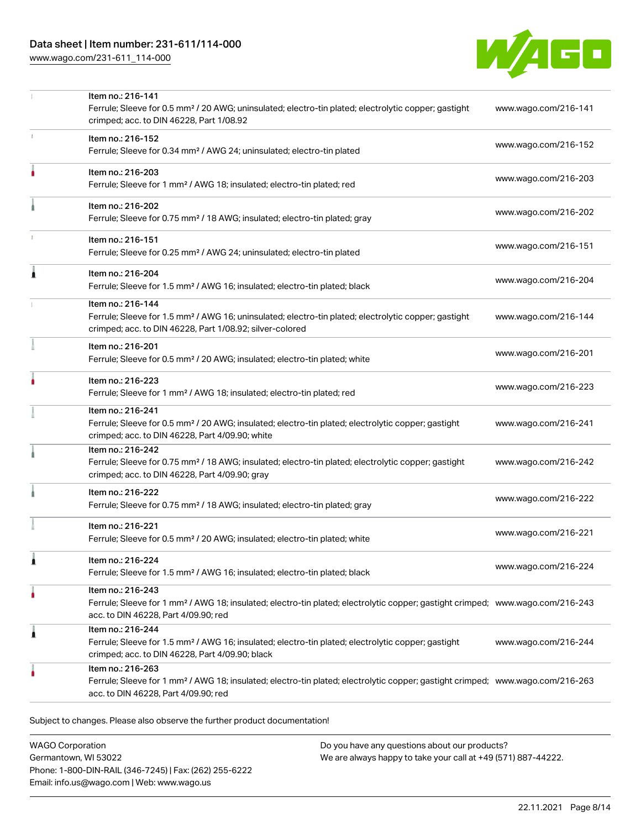# Data sheet | Item number: 231-611/114-000

[www.wago.com/231-611\\_114-000](http://www.wago.com/231-611_114-000)



|    | Item no.: 216-141<br>Ferrule; Sleeve for 0.5 mm <sup>2</sup> / 20 AWG; uninsulated; electro-tin plated; electrolytic copper; gastight<br>crimped; acc. to DIN 46228, Part 1/08.92                       | www.wago.com/216-141 |
|----|---------------------------------------------------------------------------------------------------------------------------------------------------------------------------------------------------------|----------------------|
|    | Item no.: 216-152<br>Ferrule; Sleeve for 0.34 mm <sup>2</sup> / AWG 24; uninsulated; electro-tin plated                                                                                                 | www.wago.com/216-152 |
|    | Item no.: 216-203<br>Ferrule; Sleeve for 1 mm <sup>2</sup> / AWG 18; insulated; electro-tin plated; red                                                                                                 | www.wago.com/216-203 |
|    | Item no.: 216-202<br>Ferrule; Sleeve for 0.75 mm <sup>2</sup> / 18 AWG; insulated; electro-tin plated; gray                                                                                             | www.wago.com/216-202 |
| T. | Item no.: 216-151<br>Ferrule; Sleeve for 0.25 mm <sup>2</sup> / AWG 24; uninsulated; electro-tin plated                                                                                                 | www.wago.com/216-151 |
|    | Item no.: 216-204<br>Ferrule; Sleeve for 1.5 mm <sup>2</sup> / AWG 16; insulated; electro-tin plated; black                                                                                             | www.wago.com/216-204 |
|    | Item no.: 216-144<br>Ferrule; Sleeve for 1.5 mm <sup>2</sup> / AWG 16; uninsulated; electro-tin plated; electrolytic copper; gastight<br>crimped; acc. to DIN 46228, Part 1/08.92; silver-colored       | www.wago.com/216-144 |
|    | Item no.: 216-201<br>Ferrule; Sleeve for 0.5 mm <sup>2</sup> / 20 AWG; insulated; electro-tin plated; white                                                                                             | www.wago.com/216-201 |
|    | Item no.: 216-223<br>Ferrule; Sleeve for 1 mm <sup>2</sup> / AWG 18; insulated; electro-tin plated; red                                                                                                 | www.wago.com/216-223 |
|    | Item no.: 216-241<br>Ferrule; Sleeve for 0.5 mm <sup>2</sup> / 20 AWG; insulated; electro-tin plated; electrolytic copper; gastight<br>crimped; acc. to DIN 46228, Part 4/09.90; white                  | www.wago.com/216-241 |
|    | Item no.: 216-242<br>Ferrule; Sleeve for 0.75 mm <sup>2</sup> / 18 AWG; insulated; electro-tin plated; electrolytic copper; gastight<br>crimped; acc. to DIN 46228, Part 4/09.90; gray                  | www.wago.com/216-242 |
|    | Item no.: 216-222<br>Ferrule; Sleeve for 0.75 mm <sup>2</sup> / 18 AWG; insulated; electro-tin plated; gray                                                                                             | www.wago.com/216-222 |
|    | Item no.: 216-221<br>Ferrule; Sleeve for 0.5 mm <sup>2</sup> / 20 AWG; insulated; electro-tin plated; white                                                                                             | www.wago.com/216-221 |
|    | Item no: 216-224<br>Ferrule; Sleeve for 1.5 mm <sup>2</sup> / AWG 16; insulated; electro-tin plated; black                                                                                              | www.wago.com/216-224 |
| ٠  | Item no.: 216-243<br>Ferrule; Sleeve for 1 mm <sup>2</sup> / AWG 18; insulated; electro-tin plated; electrolytic copper; gastight crimped; www.wago.com/216-243<br>acc. to DIN 46228, Part 4/09.90; red |                      |
| 1  | Item no.: 216-244<br>Ferrule; Sleeve for 1.5 mm <sup>2</sup> / AWG 16; insulated; electro-tin plated; electrolytic copper; gastight<br>crimped; acc. to DIN 46228, Part 4/09.90; black                  | www.wago.com/216-244 |
|    | Item no.: 216-263<br>Ferrule; Sleeve for 1 mm <sup>2</sup> / AWG 18; insulated; electro-tin plated; electrolytic copper; gastight crimped; www.wago.com/216-263<br>acc. to DIN 46228, Part 4/09.90; red |                      |

WAGO Corporation Germantown, WI 53022 Phone: 1-800-DIN-RAIL (346-7245) | Fax: (262) 255-6222 Email: info.us@wago.com | Web: www.wago.us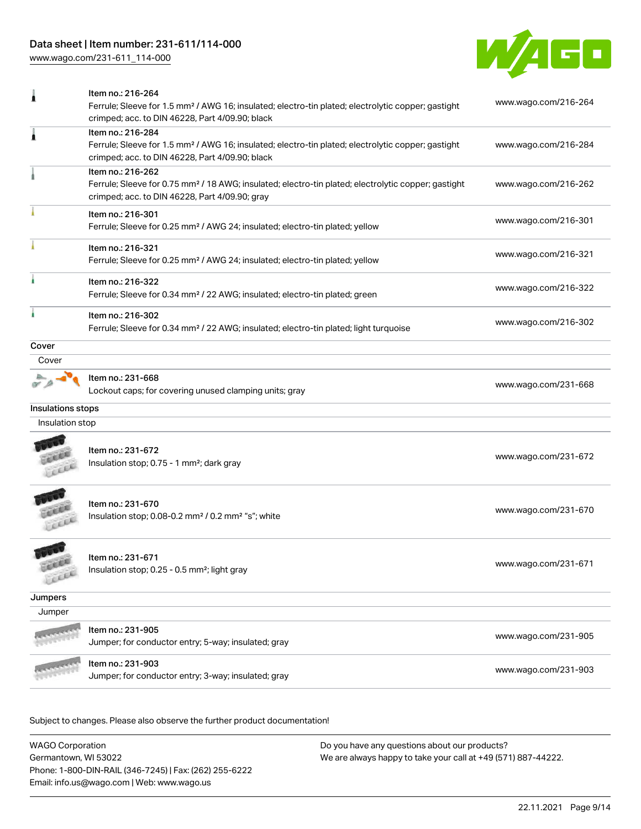# Data sheet | Item number: 231-611/114-000

[www.wago.com/231-611\\_114-000](http://www.wago.com/231-611_114-000)



|                   | Ferrule; Sleeve for 1.5 mm <sup>2</sup> / AWG 16; insulated; electro-tin plated; electrolytic copper; gastight<br>crimped; acc. to DIN 46228, Part 4/09.90; black                      | www.wago.com/216-264 |
|-------------------|----------------------------------------------------------------------------------------------------------------------------------------------------------------------------------------|----------------------|
| 1                 | Item no.: 216-284<br>Ferrule; Sleeve for 1.5 mm <sup>2</sup> / AWG 16; insulated; electro-tin plated; electrolytic copper; gastight<br>crimped; acc. to DIN 46228, Part 4/09.90; black | www.wago.com/216-284 |
|                   | Item no.: 216-262<br>Ferrule; Sleeve for 0.75 mm <sup>2</sup> / 18 AWG; insulated; electro-tin plated; electrolytic copper; gastight<br>crimped; acc. to DIN 46228, Part 4/09.90; gray | www.wago.com/216-262 |
|                   | Item no.: 216-301<br>Ferrule; Sleeve for 0.25 mm <sup>2</sup> / AWG 24; insulated; electro-tin plated; yellow                                                                          | www.wago.com/216-301 |
|                   | Item no.: 216-321<br>Ferrule; Sleeve for 0.25 mm <sup>2</sup> / AWG 24; insulated; electro-tin plated; yellow                                                                          | www.wago.com/216-321 |
|                   | Item no.: 216-322<br>Ferrule; Sleeve for 0.34 mm <sup>2</sup> / 22 AWG; insulated; electro-tin plated; green                                                                           | www.wago.com/216-322 |
|                   | Item no.: 216-302<br>Ferrule; Sleeve for 0.34 mm <sup>2</sup> / 22 AWG; insulated; electro-tin plated; light turquoise                                                                 | www.wago.com/216-302 |
| Cover             |                                                                                                                                                                                        |                      |
| Cover             |                                                                                                                                                                                        |                      |
|                   | Item no.: 231-668<br>Lockout caps; for covering unused clamping units; gray                                                                                                            | www.wago.com/231-668 |
| Insulations stops |                                                                                                                                                                                        |                      |
| Insulation stop   |                                                                                                                                                                                        |                      |
|                   | Item no.: 231-672<br>Insulation stop; 0.75 - 1 mm <sup>2</sup> ; dark gray                                                                                                             | www.wago.com/231-672 |
|                   | Item no.: 231-670<br>Insulation stop; 0.08-0.2 mm <sup>2</sup> / 0.2 mm <sup>2</sup> "s"; white                                                                                        | www.wago.com/231-670 |
| $10^{12}$<br>CERA | Item no.: 231-671<br>Insulation stop; 0.25 - 0.5 mm <sup>2</sup> ; light gray                                                                                                          | www.wago.com/231-671 |
| Jumpers           |                                                                                                                                                                                        |                      |
| Jumper            |                                                                                                                                                                                        |                      |
|                   | Item no.: 231-905<br>Jumper; for conductor entry; 5-way; insulated; gray                                                                                                               | www.wago.com/231-905 |
|                   | Item no.: 231-903<br>Jumper; for conductor entry; 3-way; insulated; gray                                                                                                               | www.wago.com/231-903 |

Subject to changes. Please also observe the further product documentation!

WAGO Corporation Germantown, WI 53022 Phone: 1-800-DIN-RAIL (346-7245) | Fax: (262) 255-6222 Email: info.us@wago.com | Web: www.wago.us Do you have any questions about our products? We are always happy to take your call at +49 (571) 887-44222.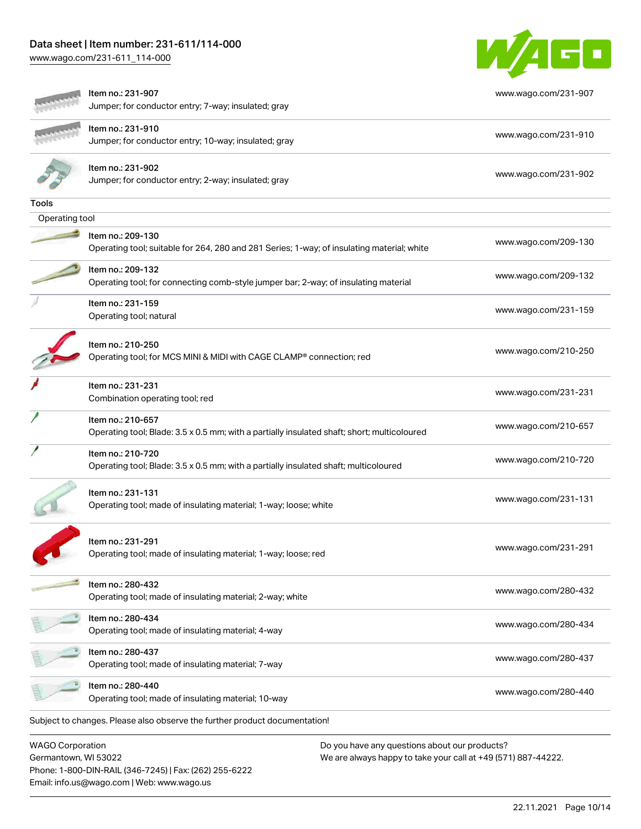# Data sheet | Item number: 231-611/114-000

[www.wago.com/231-611\\_114-000](http://www.wago.com/231-611_114-000)

Germantown, WI 53022

Phone: 1-800-DIN-RAIL (346-7245) | Fax: (262) 255-6222

Email: info.us@wago.com | Web: www.wago.us



| Item no.: 231-907<br>Jumper; for conductor entry; 7-way; insulated; gray                                         | www.wago.com/231-907 |
|------------------------------------------------------------------------------------------------------------------|----------------------|
| Item no.: 231-910<br>Jumper; for conductor entry; 10-way; insulated; gray                                        | www.wago.com/231-910 |
| Item no.: 231-902<br>Jumper; for conductor entry; 2-way; insulated; gray                                         | www.wago.com/231-902 |
| Tools                                                                                                            |                      |
| Operating tool                                                                                                   |                      |
| Item no.: 209-130<br>Operating tool; suitable for 264, 280 and 281 Series; 1-way; of insulating material; white  | www.wago.com/209-130 |
| Item no.: 209-132<br>Operating tool; for connecting comb-style jumper bar; 2-way; of insulating material         | www.wago.com/209-132 |
| Item no.: 231-159<br>Operating tool; natural                                                                     | www.wago.com/231-159 |
| Item no.: 210-250<br>Operating tool; for MCS MINI & MIDI with CAGE CLAMP® connection; red                        | www.wago.com/210-250 |
| Item no.: 231-231<br>Combination operating tool; red                                                             | www.wago.com/231-231 |
| Item no.: 210-657<br>Operating tool; Blade: 3.5 x 0.5 mm; with a partially insulated shaft; short; multicoloured | www.wago.com/210-657 |
| Item no.: 210-720<br>Operating tool; Blade: 3.5 x 0.5 mm; with a partially insulated shaft; multicoloured        | www.wago.com/210-720 |
| Item no.: 231-131<br>Operating tool; made of insulating material; 1-way; loose; white                            | www.wago.com/231-131 |
| Item no.: 231-291<br>Operating tool; made of insulating material; 1-way; loose; red                              | www.wago.com/231-291 |
| Item no.: 280-432<br>Operating tool; made of insulating material; 2-way; white                                   | www.wago.com/280-432 |
| Item no.: 280-434<br>Operating tool; made of insulating material; 4-way                                          | www.wago.com/280-434 |
| Item no.: 280-437<br>Operating tool; made of insulating material; 7-way                                          | www.wago.com/280-437 |
| Item no.: 280-440<br>Operating tool; made of insulating material; 10-way                                         | www.wago.com/280-440 |
| Subject to changes. Please also observe the further product documentation!                                       |                      |
| <b>WAGO Corporation</b><br>Do you have any questions about our products?                                         |                      |

We are always happy to take your call at +49 (571) 887-44222.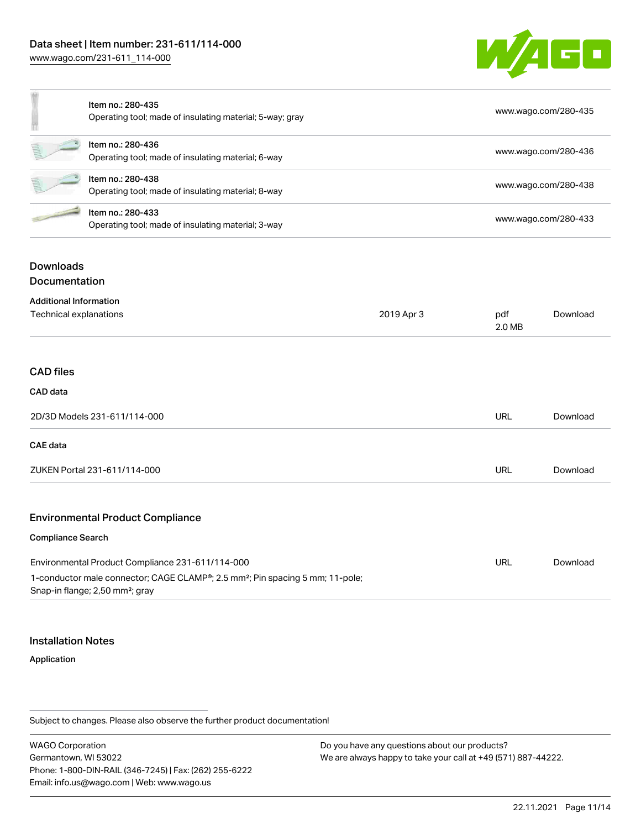[www.wago.com/231-611\\_114-000](http://www.wago.com/231-611_114-000)



|   | Item no.: 280-435<br>Operating tool; made of insulating material; 5-way; gray | www.wago.com/280-435 |
|---|-------------------------------------------------------------------------------|----------------------|
| 皂 | Item no.: 280-436<br>Operating tool; made of insulating material; 6-way       | www.wago.com/280-436 |
| Ē | Item no.: 280-438<br>Operating tool; made of insulating material; 8-way       | www.wago.com/280-438 |
|   | Item no.: 280-433<br>Operating tool; made of insulating material; 3-way       | www.wago.com/280-433 |

# Downloads Documentation

| <b>Additional Information</b>                                                                                                            |            |            |          |
|------------------------------------------------------------------------------------------------------------------------------------------|------------|------------|----------|
| Technical explanations                                                                                                                   | 2019 Apr 3 |            | Download |
|                                                                                                                                          |            |            |          |
| <b>CAD files</b>                                                                                                                         |            |            |          |
| CAD data                                                                                                                                 |            |            |          |
| 2D/3D Models 231-611/114-000                                                                                                             |            | <b>URL</b> | Download |
| <b>CAE</b> data                                                                                                                          |            |            |          |
| ZUKEN Portal 231-611/114-000                                                                                                             |            | <b>URL</b> | Download |
| <b>Environmental Product Compliance</b>                                                                                                  |            |            |          |
| <b>Compliance Search</b>                                                                                                                 |            |            |          |
| Environmental Product Compliance 231-611/114-000                                                                                         |            | <b>URL</b> | Download |
| 1-conductor male connector; CAGE CLAMP®; 2.5 mm <sup>2</sup> ; Pin spacing 5 mm; 11-pole;<br>Snap-in flange; 2,50 mm <sup>2</sup> ; gray |            |            |          |

#### Installation Notes

#### Application

Subject to changes. Please also observe the further product documentation!

WAGO Corporation Germantown, WI 53022 Phone: 1-800-DIN-RAIL (346-7245) | Fax: (262) 255-6222 Email: info.us@wago.com | Web: www.wago.us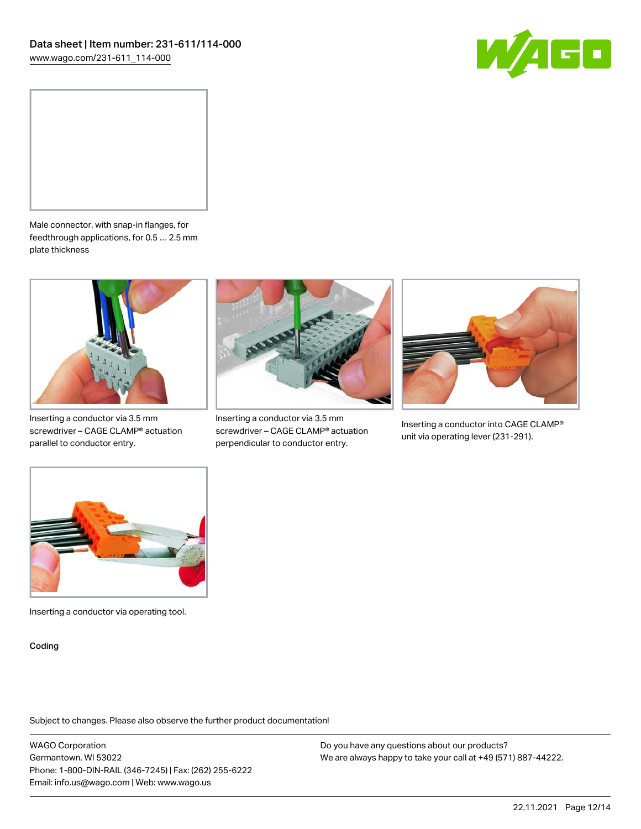



Male connector, with snap-in flanges, for feedthrough applications, for 0.5 … 2.5 mm plate thickness



Inserting a conductor via 3.5 mm screwdriver – CAGE CLAMP® actuation parallel to conductor entry.



Inserting a conductor via 3.5 mm screwdriver – CAGE CLAMP® actuation perpendicular to conductor entry.



Inserting a conductor into CAGE CLAMP® unit via operating lever (231-291).



Inserting a conductor via operating tool.

Coding

Subject to changes. Please also observe the further product documentation!

WAGO Corporation Germantown, WI 53022 Phone: 1-800-DIN-RAIL (346-7245) | Fax: (262) 255-6222 Email: info.us@wago.com | Web: www.wago.us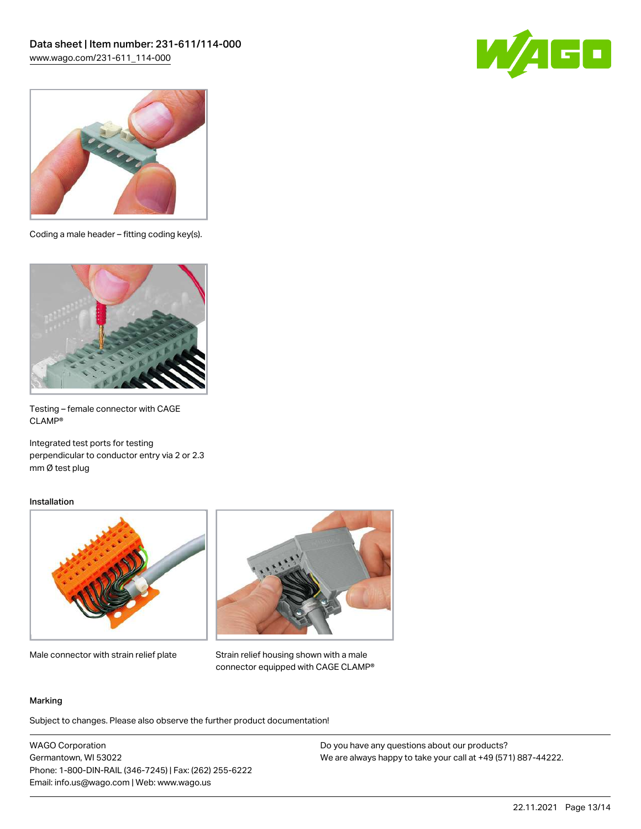



Coding a male header – fitting coding key(s).



Testing – female connector with CAGE CLAMP®

Integrated test ports for testing perpendicular to conductor entry via 2 or 2.3 mm Ø test plug

#### Installation



Male connector with strain relief plate



Strain relief housing shown with a male connector equipped with CAGE CLAMP®

#### Marking

Subject to changes. Please also observe the further product documentation!

WAGO Corporation Germantown, WI 53022 Phone: 1-800-DIN-RAIL (346-7245) | Fax: (262) 255-6222 Email: info.us@wago.com | Web: www.wago.us